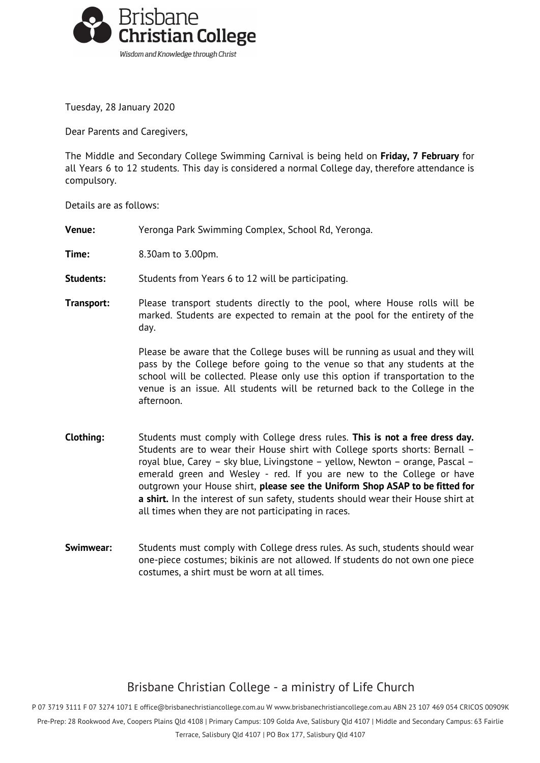

Tuesday, 28 January 2020

Dear Parents and Caregivers,

The Middle and Secondary College Swimming Carnival is being held on **Friday, 7 February** for all Years 6 to 12 students. This day is considered a normal College day, therefore attendance is compulsory.

Details are as follows:

- **Venue:** Yeronga Park Swimming Complex, School Rd, Yeronga.
- **Time:** 8.30am to 3.00pm.
- **Students:** Students from Years 6 to 12 will be participating.
- **Transport:** Please transport students directly to the pool, where House rolls will be marked. Students are expected to remain at the pool for the entirety of the day.

Please be aware that the College buses will be running as usual and they will pass by the College before going to the venue so that any students at the school will be collected. Please only use this option if transportation to the venue is an issue. All students will be returned back to the College in the afternoon.

- **Clothing:** Students must comply with College dress rules. **This is not a free dress day.** Students are to wear their House shirt with College sports shorts: Bernall – royal blue, Carey – sky blue, Livingstone – yellow, Newton – orange, Pascal – emerald green and Wesley - red. If you are new to the College or have outgrown your House shirt, **please see the Uniform Shop ASAP to be fitted for a shirt.** In the interest of sun safety, students should wear their House shirt at all times when they are not participating in races.
- **Swimwear:** Students must comply with College dress rules. As such, students should wear one-piece costumes; bikinis are not allowed. If students do not own one piece costumes, a shirt must be worn at all times.

## Brisbane Christian College - a ministry of Life Church

P 07 3719 3111 F 07 3274 1071 E [office@brisbanechristiancollege.com.au](mailto:office@brisbanechristiancollege.com.au) W [www.brisbanechristiancollege.com.au](http://www.brisbanechristiancollege.com.au/) ABN 23 107 469 054 CRICOS 00909K

Pre-Prep: 28 Rookwood Ave, Coopers Plains Qld 4108 | Primary Campus: 109 Golda Ave, Salisbury Qld 4107 | Middle and Secondary Campus: 63 Fairlie